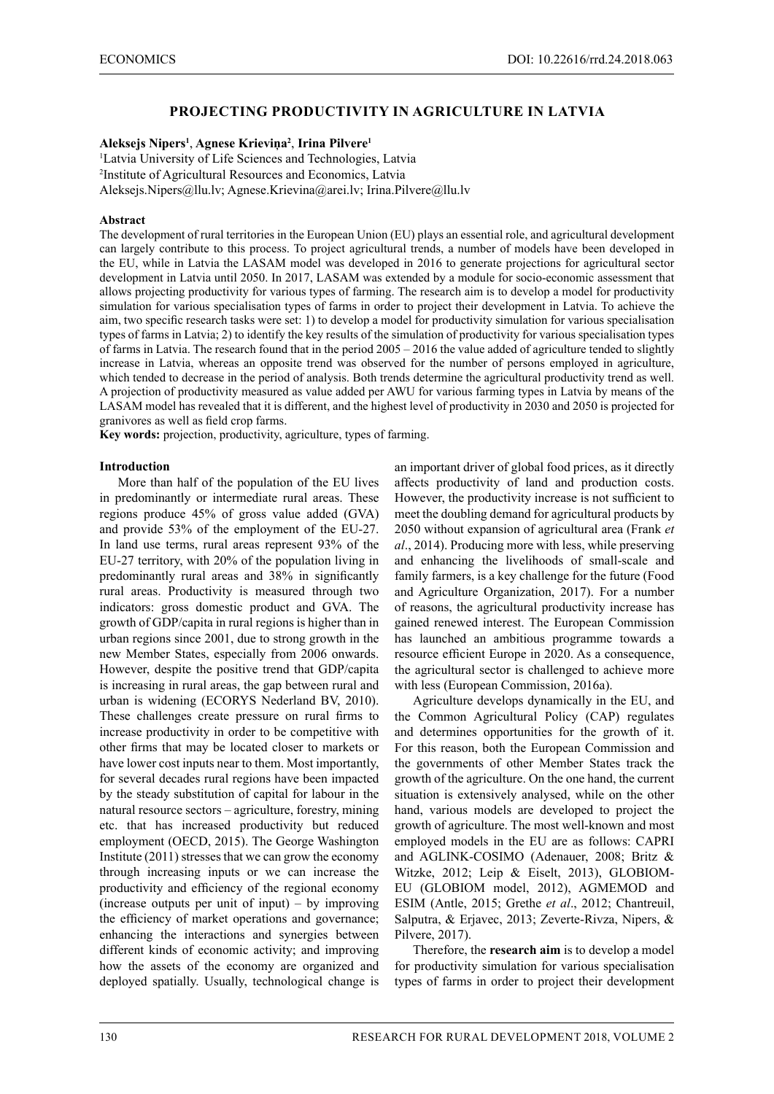## **PROJECTING PRODUCTIVITY IN AGRICULTURE IN LATVIA**

#### **Aleksejs Nipers<sup>1</sup>** , **Agnese Krieviņa<sup>2</sup>** , **Irina Pilvere1**

1 Latvia University of Life Sciences and Technologies, Latvia 2 Institute of Agricultural Resources and Economics, Latvia Aleksejs.Nipers@llu.lv; Agnese.Krievina@arei.lv; Irina.Pilvere@llu.lv

#### **Abstract**

The development of rural territories in the European Union (EU) plays an essential role, and agricultural development can largely contribute to this process. To project agricultural trends, a number of models have been developed in the EU, while in Latvia the LASAM model was developed in 2016 to generate projections for agricultural sector development in Latvia until 2050. In 2017, LASAM was extended by a module for socio-economic assessment that allows projecting productivity for various types of farming. The research aim is to develop a model for productivity simulation for various specialisation types of farms in order to project their development in Latvia. To achieve the aim, two specific research tasks were set: 1) to develop a model for productivity simulation for various specialisation types of farms in Latvia; 2) to identify the key results of the simulation of productivity for various specialisation types of farms in Latvia. The research found that in the period 2005 – 2016 the value added of agriculture tended to slightly increase in Latvia, whereas an opposite trend was observed for the number of persons employed in agriculture, which tended to decrease in the period of analysis. Both trends determine the agricultural productivity trend as well. A projection of productivity measured as value added per AWU for various farming types in Latvia by means of the LASAM model has revealed that it is different, and the highest level of productivity in 2030 and 2050 is projected for granivores as well as field crop farms.

**Key words:** projection, productivity, agriculture, types of farming.

#### **Introduction**

More than half of the population of the EU lives in predominantly or intermediate rural areas. These regions produce 45% of gross value added (GVA) and provide 53% of the employment of the EU-27. In land use terms, rural areas represent 93% of the EU-27 territory, with 20% of the population living in predominantly rural areas and 38% in significantly rural areas. Productivity is measured through two indicators: gross domestic product and GVA. The growth of GDP/capita in rural regions is higher than in urban regions since 2001, due to strong growth in the new Member States, especially from 2006 onwards. However, despite the positive trend that GDP/capita is increasing in rural areas, the gap between rural and urban is widening (ECORYS Nederland BV, 2010). These challenges create pressure on rural firms to increase productivity in order to be competitive with other firms that may be located closer to markets or have lower cost inputs near to them. Most importantly, for several decades rural regions have been impacted by the steady substitution of capital for labour in the natural resource sectors – agriculture, forestry, mining etc. that has increased productivity but reduced employment (OECD, 2015). The George Washington Institute (2011) stresses that we can grow the economy through increasing inputs or we can increase the productivity and efficiency of the regional economy (increase outputs per unit of input) – by improving the efficiency of market operations and governance; enhancing the interactions and synergies between different kinds of economic activity; and improving how the assets of the economy are organized and deployed spatially. Usually, technological change is

an important driver of global food prices, as it directly affects productivity of land and production costs. However, the productivity increase is not sufficient to meet the doubling demand for agricultural products by 2050 without expansion of agricultural area (Frank *et al*., 2014). Producing more with less, while preserving and enhancing the livelihoods of small-scale and family farmers, is a key challenge for the future (Food and Agriculture Organization, 2017). For a number of reasons, the agricultural productivity increase has gained renewed interest. The European Commission has launched an ambitious programme towards a resource efficient Europe in 2020. As a consequence, the agricultural sector is challenged to achieve more with less (European Commission, 2016a).

Agriculture develops dynamically in the EU, and the Common Agricultural Policy (CAP) regulates and determines opportunities for the growth of it. For this reason, both the European Commission and the governments of other Member States track the growth of the agriculture. On the one hand, the current situation is extensively analysed, while on the other hand, various models are developed to project the growth of agriculture. The most well-known and most employed models in the EU are as follows: CAPRI and AGLINK-COSIMO (Adenauer, 2008; Britz & Witzke, 2012; Leip & Eiselt, 2013), GLOBIOM-EU (GLOBIOM model, 2012), AGMEMOD and ESIM (Antle, 2015; Grethe *et al*., 2012; Chantreuil, Salputra, & Erjavec, 2013; Zeverte-Rivza, Nipers, & Pilvere, 2017).

Therefore, the **research aim** is to develop a model for productivity simulation for various specialisation types of farms in order to project their development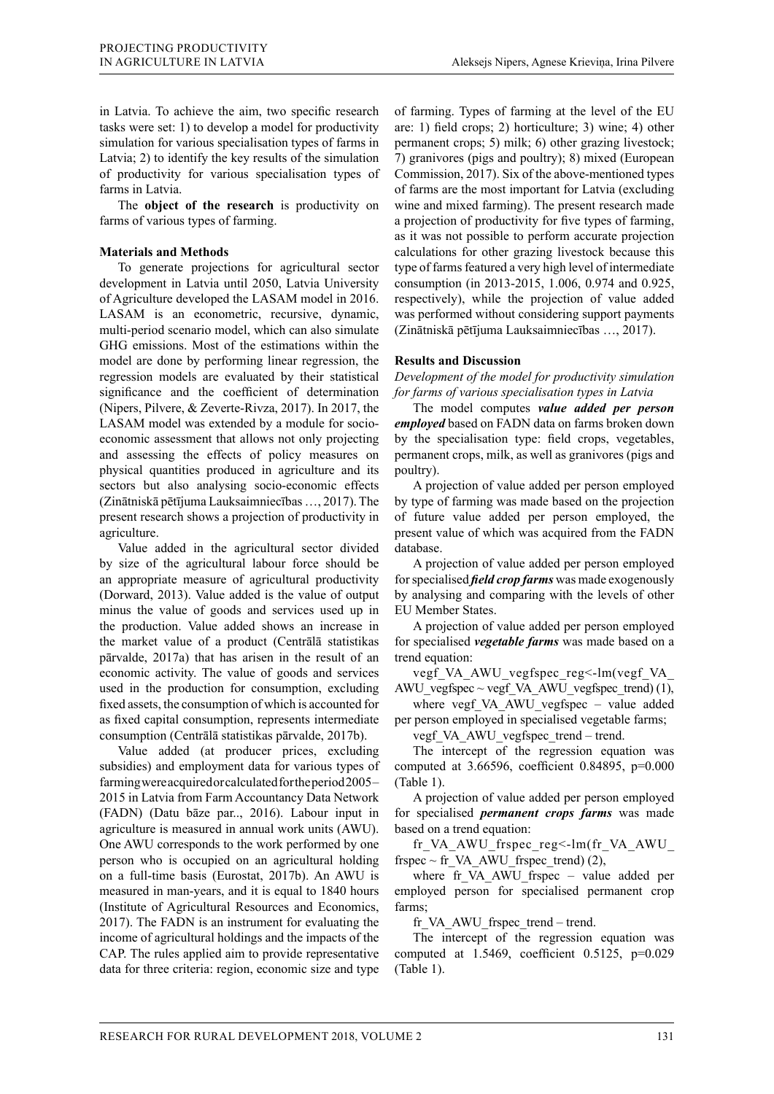in Latvia. To achieve the aim, two specific research tasks were set: 1) to develop a model for productivity simulation for various specialisation types of farms in Latvia; 2) to identify the key results of the simulation of productivity for various specialisation types of farms in Latvia.

The **object of the research** is productivity on farms of various types of farming.

### **Materials and Methods**

To generate projections for agricultural sector development in Latvia until 2050, Latvia University of Agriculture developed the LASAM model in 2016. LASAM is an econometric, recursive, dynamic, multi-period scenario model, which can also simulate GHG emissions. Most of the estimations within the model are done by performing linear regression, the regression models are evaluated by their statistical significance and the coefficient of determination (Nipers, Pilvere, & Zeverte-Rivza, 2017). In 2017, the LASAM model was extended by a module for socioeconomic assessment that allows not only projecting and assessing the effects of policy measures on physical quantities produced in agriculture and its sectors but also analysing socio-economic effects (Zinātniskā pētījuma Lauksaimniecības …, 2017). The present research shows a projection of productivity in agriculture.

Value added in the agricultural sector divided by size of the agricultural labour force should be an appropriate measure of agricultural productivity (Dorward, 2013). Value added is the value of output minus the value of goods and services used up in the production. Value added shows an increase in the market value of a product (Centrālā statistikas pārvalde, 2017a) that has arisen in the result of an economic activity. The value of goods and services used in the production for consumption, excluding fixed assets, the consumption of which is accounted for as fixed capital consumption, represents intermediate consumption (Centrālā statistikas pārvalde, 2017b).

Value added (at producer prices, excluding subsidies) and employment data for various types of farming were acquired or calculated for the period 2005 – 2015 in Latvia from Farm Accountancy Data Network (FADN) (Datu bāze par.., 2016). Labour input in agriculture is measured in annual work units (AWU). One AWU corresponds to the work performed by one person who is occupied on an agricultural holding on a full-time basis (Eurostat, 2017b). An AWU is measured in man-years, and it is equal to 1840 hours (Institute of Agricultural Resources and Economics, 2017). The FADN is an instrument for evaluating the income of agricultural holdings and the impacts of the CAP. The rules applied aim to provide representative data for three criteria: region, economic size and type

of farming. Types of farming at the level of the EU are: 1) field crops; 2) horticulture; 3) wine; 4) other permanent crops; 5) milk; 6) other grazing livestock; 7) granivores (pigs and poultry); 8) mixed (European Commission, 2017). Six of the above-mentioned types of farms are the most important for Latvia (excluding wine and mixed farming). The present research made a projection of productivity for five types of farming, as it was not possible to perform accurate projection calculations for other grazing livestock because this type of farms featured a very high level of intermediate consumption (in 2013-2015, 1.006, 0.974 and 0.925, respectively), while the projection of value added was performed without considering support payments (Zinātniskā pētījuma Lauksaimniecības …, 2017).

#### **Results and Discussion**

*Development of the model for productivity simulation for farms of various specialisation types in Latvia*

The model computes *value added per person employed* based on FADN data on farms broken down by the specialisation type: field crops, vegetables, permanent crops, milk, as well as granivores (pigs and poultry).

A projection of value added per person employed by type of farming was made based on the projection of future value added per person employed, the present value of which was acquired from the FADN database.

A projection of value added per person employed for specialised *field crop farms* was made exogenously by analysing and comparing with the levels of other EU Member States.

A projection of value added per person employed for specialised *vegetable farms* was made based on a trend equation:

vegf VA\_AWU\_vegfspec\_reg<-lm(vegf\_VA\_ AWU vegfspec  $\sim$  vegf VA AWU vegfspec trend) (1),

where vegf VA AWU vegfspec – value added per person employed in specialised vegetable farms;

vegf VA AWU vegfspec trend – trend.

The intercept of the regression equation was computed at 3.66596, coefficient 0.84895, p=0.000 (Table 1).

A projection of value added per person employed for specialised *permanent crops farms* was made based on a trend equation:

fr\_VA\_AWU\_frspec\_reg<-lm(fr\_VA\_AWU\_ frspec  $\sim$  fr VA AWU frspec trend) (2),

where fr\_VA\_AWU\_frspec – value added per employed person for specialised permanent crop farms;

fr\_VA\_AWU\_frspec\_trend – trend.

The intercept of the regression equation was computed at  $1.5469$ , coefficient  $0.5125$ ,  $p=0.029$ (Table 1).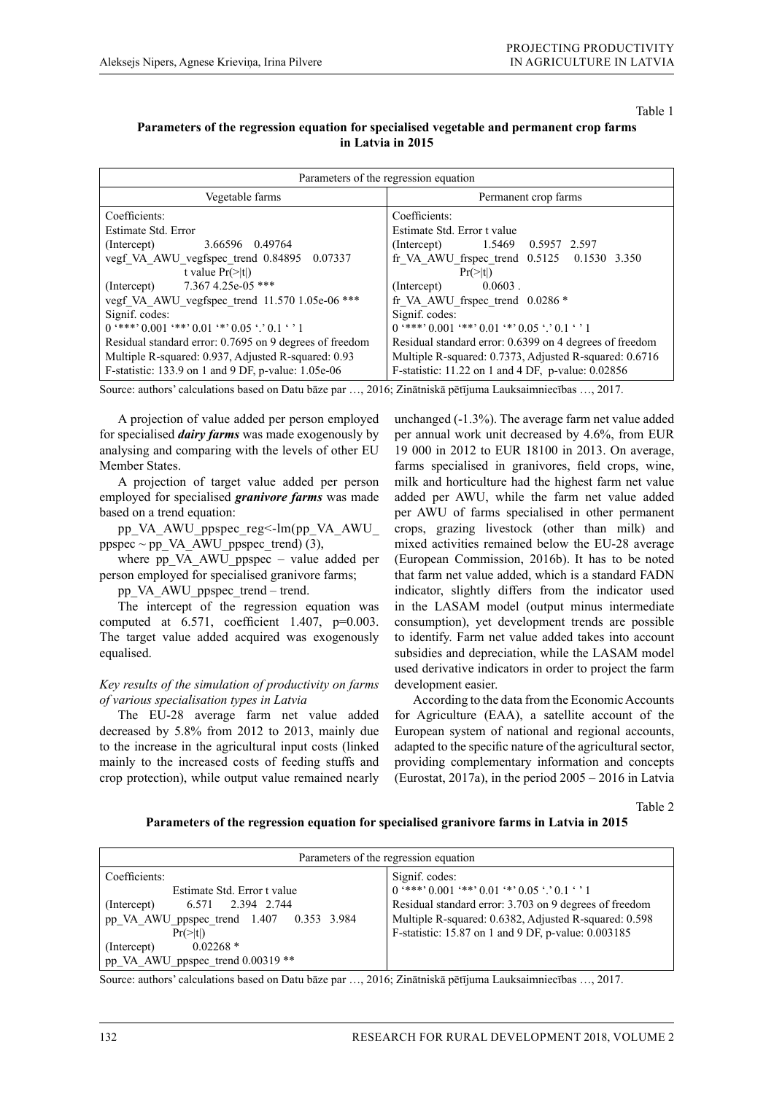Table 1

### **Parameters of the regression equation for specialised vegetable and permanent crop farms in Latvia in 2015**

| Parameters of the regression equation                   |                                                         |
|---------------------------------------------------------|---------------------------------------------------------|
| Vegetable farms                                         | Permanent crop farms                                    |
| Coefficients:                                           | Coefficients:                                           |
| Estimate Std. Error                                     | Estimate Std. Error t value                             |
| 3.66596 0.49764                                         | (Intercept) 1.5469 0.5957 2.597                         |
| (Intercept)                                             | fr VA AWU frspec trend $0.5125$ 0.1530 3.350            |
| vegf VA AWU_vegfspec_trend 0.84895 0.07337              | $Pr(>\vert t \vert)$                                    |
| t value $Pr(\ge  t )$                                   | $0.0603$ .                                              |
| (Intercept) 7.367 4.25e-05 ***                          | (Intercept)                                             |
| vegf VA AWU vegfspec trend 11.570 1.05e-06 ***          | fr VA AWU frspec trend $0.0286*$                        |
| Signif. codes:                                          | Signif. codes:                                          |
| $0$ '***' $0.001$ '**' $0.01$ '*' $0.05$ '.' $0.1$ ' '1 | $0$ '***' $0.001$ '**' $0.01$ '*' $0.05$ '.' $0.1$ ' '1 |
| Residual standard error: 0.7695 on 9 degrees of freedom | Residual standard error: 0.6399 on 4 degrees of freedom |
| Multiple R-squared: 0.937, Adjusted R-squared: 0.93     | Multiple R-squared: 0.7373, Adjusted R-squared: 0.6716  |
| F-statistic: $133.9$ on 1 and 9 DF, p-value: $1.05e-06$ | F-statistic: 11.22 on 1 and 4 DF, p-value: 0.02856      |

Source: authors' calculations based on Datu bāze par …, 2016; Zinātniskā pētījuma Lauksaimniecības …, 2017.

A projection of value added per person employed for specialised *dairy farms* was made exogenously by analysing and comparing with the levels of other EU Member States.

A projection of target value added per person employed for specialised *granivore farms* was made based on a trend equation:

pp\_VA\_AWU\_ppspec\_reg<-lm(pp\_VA\_AWU\_  $ppspec \sim pp_VA_AWU_ppspec_trend$  (3),

where pp\_VA\_AWU\_ppspec – value added per person employed for specialised granivore farms;

pp\_VA\_AWU\_ppspec\_trend – trend.

The intercept of the regression equation was computed at  $6.571$ , coefficient 1.407,  $p=0.003$ . The target value added acquired was exogenously equalised.

### *Key results of the simulation of productivity on farms of various specialisation types in Latvia*

The EU-28 average farm net value added decreased by 5.8% from 2012 to 2013, mainly due to the increase in the agricultural input costs (linked mainly to the increased costs of feeding stuffs and crop protection), while output value remained nearly

unchanged (-1.3%). The average farm net value added per annual work unit decreased by 4.6%, from EUR 19 000 in 2012 to EUR 18100 in 2013. On average, farms specialised in granivores, field crops, wine, milk and horticulture had the highest farm net value added per AWU, while the farm net value added per AWU of farms specialised in other permanent crops, grazing livestock (other than milk) and mixed activities remained below the EU-28 average (European Commission, 2016b). It has to be noted that farm net value added, which is a standard FADN indicator, slightly differs from the indicator used in the LASAM model (output minus intermediate consumption), yet development trends are possible to identify. Farm net value added takes into account subsidies and depreciation, while the LASAM model used derivative indicators in order to project the farm development easier.

According to the data from the Economic Accounts for Agriculture (EAA), a satellite account of the European system of national and regional accounts, adapted to the specific nature of the agricultural sector, providing complementary information and concepts (Eurostat, 2017a), in the period 2005 – 2016 in Latvia

Table 2

#### **Parameters of the regression equation for specialised granivore farms in Latvia in 2015**

| Parameters of the regression equation                                                                                                                                                                                  |                                                                                                                                                                                                                                                     |
|------------------------------------------------------------------------------------------------------------------------------------------------------------------------------------------------------------------------|-----------------------------------------------------------------------------------------------------------------------------------------------------------------------------------------------------------------------------------------------------|
| Coefficients:<br>Estimate Std. Error t value<br>6.571 2.394 2.744<br>(Intercept)<br>pp VA AWU ppspec trend 1.407 0.353 3.984<br>$Pr(>\vert t \vert)$<br>$0.02268*$<br>(Intercept)<br>pp_VA_AWU_ppspec_trend 0.00319 ** | Signif. codes:<br>$0$ '***' $0.001$ '**' $0.01$ '*' $0.05$ '.' $0.1$ ' '1<br>Residual standard error: 3.703 on 9 degrees of freedom<br>Multiple R-squared: 0.6382, Adjusted R-squared: 0.598<br>F-statistic: 15.87 on 1 and 9 DF, p-value: 0.003185 |

Source: authors' calculations based on Datu bāze par …, 2016; Zinātniskā pētījuma Lauksaimniecības …, 2017.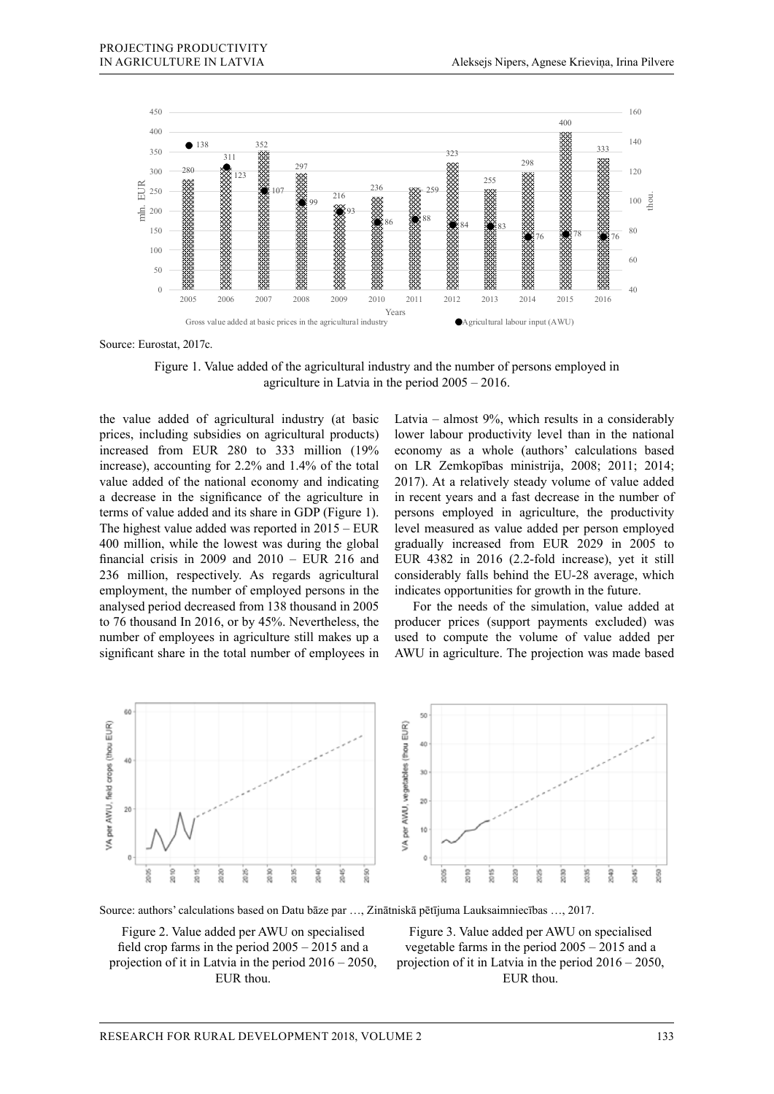

Source: Eurostat, 2017c.

Figure 1. Value added of the agricultural industry and the number of persons employed in agriculture in Latvia in the period 2005 – 2016.

the value added of agricultural industry (at basic prices, including subsidies on agricultural products) increased from EUR 280 to 333 million (19% increase), accounting for 2.2% and 1.4% of the total value added of the national economy and indicating a decrease in the significance of the agriculture in terms of value added and its share in GDP (Figure 1). The highest value added was reported in 2015 – EUR 400 million, while the lowest was during the global financial crisis in 2009 and 2010 – EUR 216 and 236 million, respectively. As regards agricultural employment, the number of employed persons in the analysed period decreased from 138 thousand in 2005 to 76 thousand In 2016, or by 45%. Nevertheless, the number of employees in agriculture still makes up a significant share in the total number of employees in

Latvia – almost 9%, which results in a considerably lower labour productivity level than in the national economy as a whole (authors' calculations based on LR Zemkopības ministrija, 2008; 2011; 2014; 2017). At a relatively steady volume of value added in recent years and a fast decrease in the number of persons employed in agriculture, the productivity level measured as value added per person employed gradually increased from EUR 2029 in 2005 to EUR 4382 in 2016 (2.2-fold increase), yet it still considerably falls behind the EU-28 average, which indicates opportunities for growth in the future.

For the needs of the simulation, value added at producer prices (support payments excluded) was used to compute the volume of value added per AWU in agriculture. The projection was made based



Source: authors' calculations based on Datu bāze par …, Zinātniskā pētījuma Lauksaimniecības …, 2017.

Figure 2. Value added per AWU on specialised field crop farms in the period 2005 – 2015 and a projection of it in Latvia in the period 2016 – 2050, EUR thou.

Figure 3. Value added per AWU on specialised vegetable farms in the period 2005 – 2015 and a projection of it in Latvia in the period 2016 – 2050, EUR thou.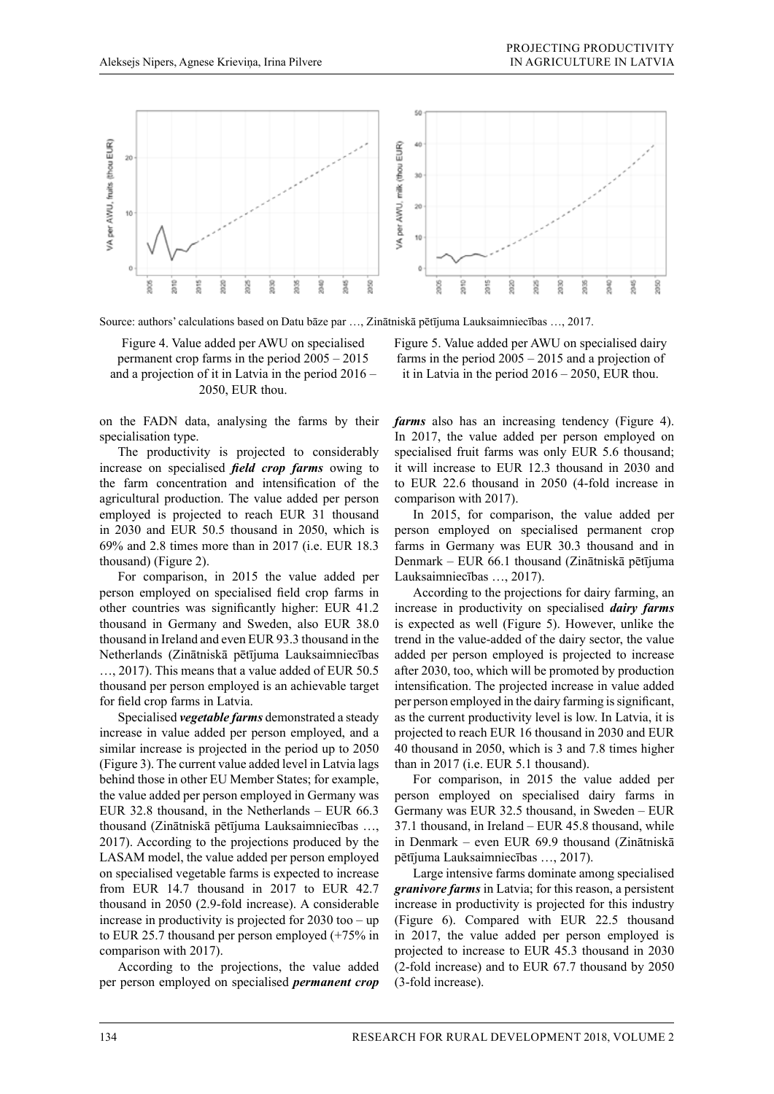

Source: authors' calculations based on Datu bāze par …, Zinātniskā pētījuma Lauksaimniecības …, 2017.

Figure 4. Value added per AWU on specialised permanent crop farms in the period 2005 – 2015 and a projection of it in Latvia in the period 2016 – 2050, EUR thou.

on the FADN data, analysing the farms by their specialisation type.

The productivity is projected to considerably increase on specialised *field crop farms* owing to the farm concentration and intensification of the agricultural production. The value added per person employed is projected to reach EUR 31 thousand in 2030 and EUR 50.5 thousand in 2050, which is 69% and 2.8 times more than in 2017 (i.e. EUR 18.3 thousand) (Figure 2).

For comparison, in 2015 the value added per person employed on specialised field crop farms in other countries was significantly higher: EUR 41.2 thousand in Germany and Sweden, also EUR 38.0 thousand in Ireland and even EUR 93.3 thousand in the Netherlands (Zinātniskā pētījuma Lauksaimniecības …, 2017). This means that a value added of EUR 50.5 thousand per person employed is an achievable target for field crop farms in Latvia.

Specialised *vegetable farms* demonstrated a steady increase in value added per person employed, and a similar increase is projected in the period up to 2050 (Figure 3). The current value added level in Latvia lags behind those in other EU Member States; for example, the value added per person employed in Germany was EUR 32.8 thousand, in the Netherlands – EUR 66.3 thousand (Zinātniskā pētījuma Lauksaimniecības …, 2017). According to the projections produced by the LASAM model, the value added per person employed on specialised vegetable farms is expected to increase from EUR 14.7 thousand in 2017 to EUR 42.7 thousand in 2050 (2.9-fold increase). A considerable increase in productivity is projected for 2030 too – up to EUR 25.7 thousand per person employed (+75% in comparison with 2017).

According to the projections, the value added per person employed on specialised *permanent crop*  Figure 5. Value added per AWU on specialised dairy farms in the period 2005 – 2015 and a projection of it in Latvia in the period 2016 – 2050, EUR thou.

*farms* also has an increasing tendency (Figure 4). In 2017, the value added per person employed on specialised fruit farms was only EUR 5.6 thousand; it will increase to EUR 12.3 thousand in 2030 and to EUR 22.6 thousand in 2050 (4-fold increase in comparison with 2017).

In 2015, for comparison, the value added per person employed on specialised permanent crop farms in Germany was EUR 30.3 thousand and in Denmark – EUR 66.1 thousand (Zinātniskā pētījuma Lauksaimniecības …, 2017).

According to the projections for dairy farming, an increase in productivity on specialised *dairy farms* is expected as well (Figure 5). However, unlike the trend in the value-added of the dairy sector, the value added per person employed is projected to increase after 2030, too, which will be promoted by production intensification. The projected increase in value added per person employed in the dairy farming is significant, as the current productivity level is low. In Latvia, it is projected to reach EUR 16 thousand in 2030 and EUR 40 thousand in 2050, which is 3 and 7.8 times higher than in 2017 (i.e. EUR 5.1 thousand).

For comparison, in 2015 the value added per person employed on specialised dairy farms in Germany was EUR 32.5 thousand, in Sweden – EUR 37.1 thousand, in Ireland – EUR 45.8 thousand, while in Denmark – even EUR 69.9 thousand (Zinātniskā pētījuma Lauksaimniecības …, 2017).

Large intensive farms dominate among specialised *granivore farms* in Latvia; for this reason, a persistent increase in productivity is projected for this industry (Figure 6). Compared with EUR 22.5 thousand in 2017, the value added per person employed is projected to increase to EUR 45.3 thousand in 2030 (2-fold increase) and to EUR 67.7 thousand by 2050 (3-fold increase).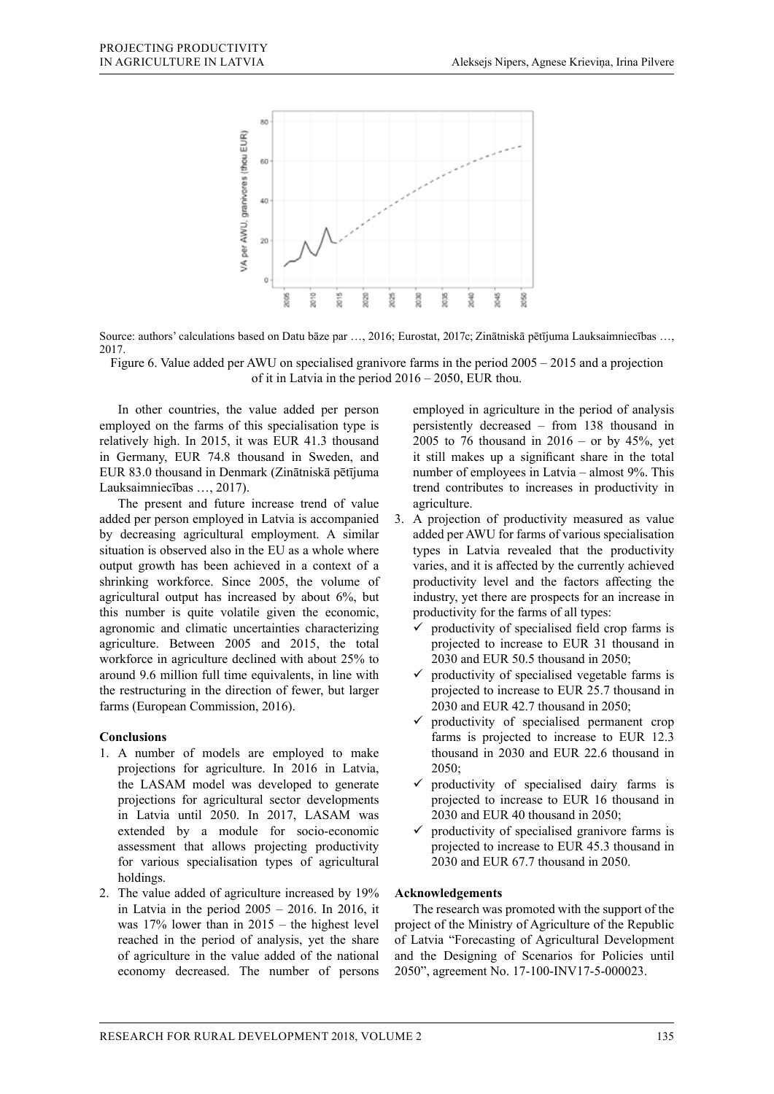

Source: authors' calculations based on Datu bāze par …, 2016; Eurostat, 2017c; Zinātniskā pētījuma Lauksaimniecības …, 2017.

Figure 6. Value added per AWU on specialised granivore farms in the period 2005 – 2015 and a projection of it in Latvia in the period 2016 – 2050, EUR thou.

In other countries, the value added per person employed on the farms of this specialisation type is relatively high. In 2015, it was EUR 41.3 thousand in Germany, EUR 74.8 thousand in Sweden, and EUR 83.0 thousand in Denmark (Zinātniskā pētījuma Lauksaimniecības …, 2017).

The present and future increase trend of value added per person employed in Latvia is accompanied by decreasing agricultural employment. A similar situation is observed also in the EU as a whole where output growth has been achieved in a context of a shrinking workforce. Since 2005, the volume of agricultural output has increased by about 6%, but this number is quite volatile given the economic, agronomic and climatic uncertainties characterizing agriculture. Between 2005 and 2015, the total workforce in agriculture declined with about 25% to around 9.6 million full time equivalents, in line with the restructuring in the direction of fewer, but larger farms (European Commission, 2016).

### **Conclusions**

- 1. A number of models are employed to make projections for agriculture. In 2016 in Latvia, the LASAM model was developed to generate projections for agricultural sector developments in Latvia until 2050. In 2017, LASAM was extended by a module for socio-economic assessment that allows projecting productivity for various specialisation types of agricultural holdings.
- 2. The value added of agriculture increased by 19% in Latvia in the period  $2005 - 2016$ . In 2016, it was 17% lower than in 2015 – the highest level reached in the period of analysis, yet the share of agriculture in the value added of the national economy decreased. The number of persons

employed in agriculture in the period of analysis persistently decreased – from 138 thousand in 2005 to 76 thousand in  $2016 -$  or by  $45\%$ , yet it still makes up a significant share in the total number of employees in Latvia – almost 9%. This trend contributes to increases in productivity in agriculture.

- 3. A projection of productivity measured as value added per AWU for farms of various specialisation types in Latvia revealed that the productivity varies, and it is affected by the currently achieved productivity level and the factors affecting the industry, yet there are prospects for an increase in productivity for the farms of all types:
	- $\checkmark$  productivity of specialised field crop farms is projected to increase to EUR 31 thousand in 2030 and EUR 50.5 thousand in 2050;
	- $\checkmark$  productivity of specialised vegetable farms is projected to increase to EUR 25.7 thousand in 2030 and EUR 42.7 thousand in 2050;
	- $\checkmark$  productivity of specialised permanent crop farms is projected to increase to EUR 12.3 thousand in 2030 and EUR 22.6 thousand in 2050;
	- productivity of specialised dairy farms is projected to increase to EUR 16 thousand in 2030 and EUR 40 thousand in 2050;
	- $\checkmark$  productivity of specialised granivore farms is projected to increase to EUR 45.3 thousand in 2030 and EUR 67.7 thousand in 2050.

### **Acknowledgements**

The research was promoted with the support of the project of the Ministry of Agriculture of the Republic of Latvia "Forecasting of Agricultural Development and the Designing of Scenarios for Policies until 2050", agreement No. 17-100-INV17-5-000023.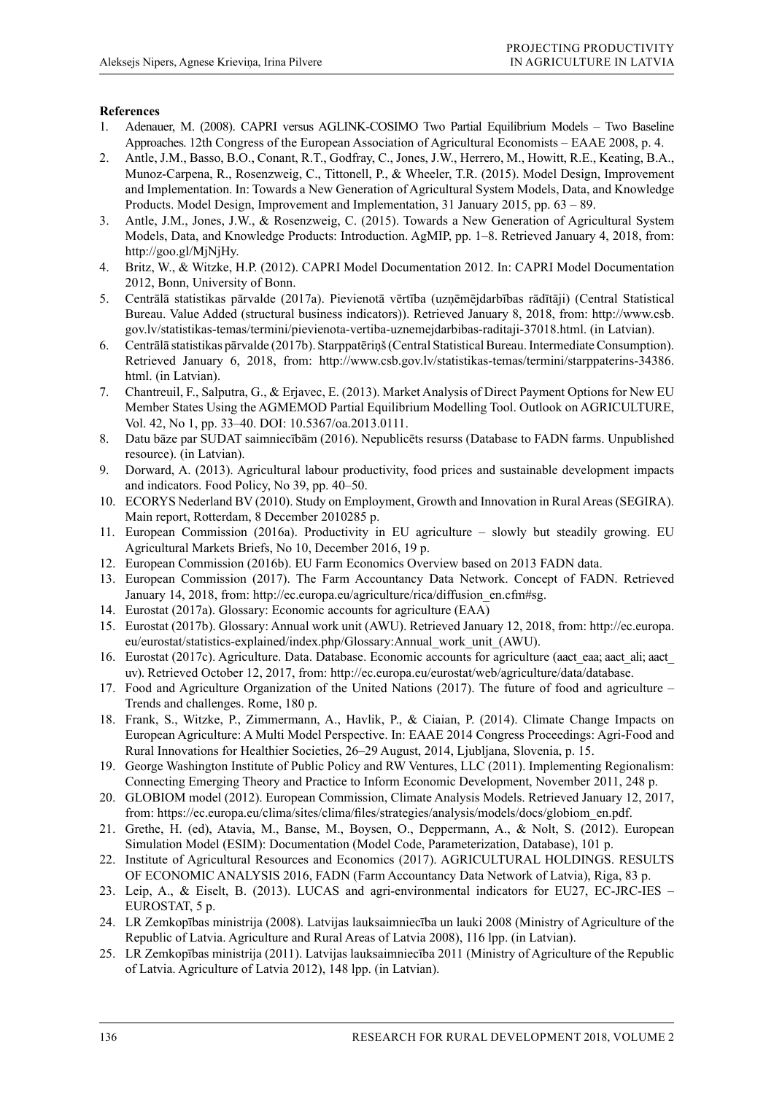# **References**

- 1. Adenauer, M. (2008). CAPRI versus AGLINK-COSIMO Two Partial Equilibrium Models Two Baseline Approaches. 12th Congress of the European Association of Agricultural Economists – EAAE 2008, p. 4.
- 2. Antle, J.M., Basso, B.O., Conant, R.T., Godfray, C., Jones, J.W., Herrero, M., Howitt, R.E., Keating, B.A., Munoz-Carpena, R., Rosenzweig, C., Tittonell, P., & Wheeler, T.R. (2015). Model Design, Improvement and Implementation. In: Towards a New Generation of Agricultural System Models, Data, and Knowledge Products. Model Design, Improvement and Implementation, 31 January 2015, pp. 63 – 89.
- 3. Antle, J.M., Jones, J.W., & Rosenzweig, C. (2015). Towards a New Generation of Agricultural System Models, Data, and Knowledge Products: Introduction. AgMIP, pp. 1–8. Retrieved January 4, 2018, from: http://goo.gl/MjNjHy.
- 4. Britz, W., & Witzke, H.P. (2012). CAPRI Model Documentation 2012. In: CAPRI Model Documentation 2012, Bonn, University of Bonn.
- 5. Centrālā statistikas pārvalde (2017a). Pievienotā vērtība (uzņēmējdarbības rādītāji) (Central Statistical Bureau. Value Added (structural business indicators)). Retrieved January 8, 2018, from: http://www.csb. gov.lv/statistikas-temas/termini/pievienota-vertiba-uznemejdarbibas-raditaji-37018.html. (in Latvian).
- 6. Centrālā statistikas pārvalde (2017b). Starppatēriņš (Central Statistical Bureau. Intermediate Consumption). Retrieved January 6, 2018, from: http://www.csb.gov.lv/statistikas-temas/termini/starppaterins-34386. html. (in Latvian).
- 7. Chantreuil, F., Salputra, G., & Erjavec, E. (2013). Market Analysis of Direct Payment Options for New EU Member States Using the AGMEMOD Partial Equilibrium Modelling Tool. Outlook on AGRICULTURE, Vol. 42, No 1, pp. 33–40. DOI: 10.5367/oa.2013.0111.
- 8. Datu bāze par SUDAT saimniecībām (2016). Nepublicēts resurss (Database to FADN farms. Unpublished resource). (in Latvian).
- 9. Dorward, A. (2013). Agricultural labour productivity, food prices and sustainable development impacts and indicators. Food Policy, No 39, pp. 40–50.
- 10. ECORYS Nederland BV (2010). Study on Employment, Growth and Innovation in Rural Areas (SEGIRA). Main report, Rotterdam, 8 December 2010285 p.
- 11. European Commission (2016a). Productivity in EU agriculture slowly but steadily growing. EU Agricultural Markets Briefs, No 10, December 2016, 19 p.
- 12. European Commission (2016b). EU Farm Economics Overview based on 2013 FADN data.
- 13. European Commission (2017). The Farm Accountancy Data Network. Concept of FADN. Retrieved January 14, 2018, from: http://ec.europa.eu/agriculture/rica/diffusion\_en.cfm#sg.
- 14. Eurostat (2017a). Glossary: Economic accounts for agriculture (EAA)
- 15. Eurostat (2017b). Glossary: Annual work unit (AWU). Retrieved January 12, 2018, from: http://ec.europa. eu/eurostat/statistics-explained/index.php/Glossary:Annual\_work\_unit\_(AWU).
- 16. Eurostat (2017c). Agriculture. Data. Database. Economic accounts for agriculture (aact\_eaa; aact\_ali; aact\_ uv). Retrieved October 12, 2017, from: http://ec.europa.eu/eurostat/web/agriculture/data/database.
- 17. Food and Agriculture Organization of the United Nations (2017). The future of food and agriculture Trends and challenges. Rome, 180 p.
- 18. Frank, S., Witzke, P., Zimmermann, A., Havlik, P., & Ciaian, P. (2014). Climate Change Impacts on European Agriculture: A Multi Model Perspective. In: EAAE 2014 Congress Proceedings: Agri-Food and Rural Innovations for Healthier Societies, 26–29 August, 2014, Ljubljana, Slovenia, p. 15.
- 19. George Washington Institute of Public Policy and RW Ventures, LLC (2011). Implementing Regionalism: Connecting Emerging Theory and Practice to Inform Economic Development, November 2011, 248 p.
- 20. GLOBIOM model (2012). European Commission, Climate Analysis Models. Retrieved January 12, 2017, from: https://ec.europa.eu/clima/sites/clima/files/strategies/analysis/models/docs/globiom\_en.pdf.
- 21. Grethe, H. (ed), Atavia, M., Banse, M., Boysen, O., Deppermann, A., & Nolt, S. (2012). European Simulation Model (ESIM): Documentation (Model Code, Parameterization, Database), 101 p.
- 22. Institute of Agricultural Resources and Economics (2017). AGRICULTURAL HOLDINGS. RESULTS OF ECONOMIC ANALYSIS 2016, FADN (Farm Accountancy Data Network of Latvia), Riga, 83 p.
- 23. Leip, A., & Eiselt, B. (2013). LUCAS and agri-environmental indicators for EU27, EC-JRC-IES EUROSTAT, 5 p.
- 24. LR Zemkopības ministrija (2008). Latvijas lauksaimniecība un lauki 2008 (Ministry of Agriculture of the Republic of Latvia. Agriculture and Rural Areas of Latvia 2008), 116 lpp. (in Latvian).
- 25. LR Zemkopības ministrija (2011). Latvijas lauksaimniecība 2011 (Ministry of Agriculture of the Republic of Latvia. Agriculture of Latvia 2012), 148 lpp. (in Latvian).